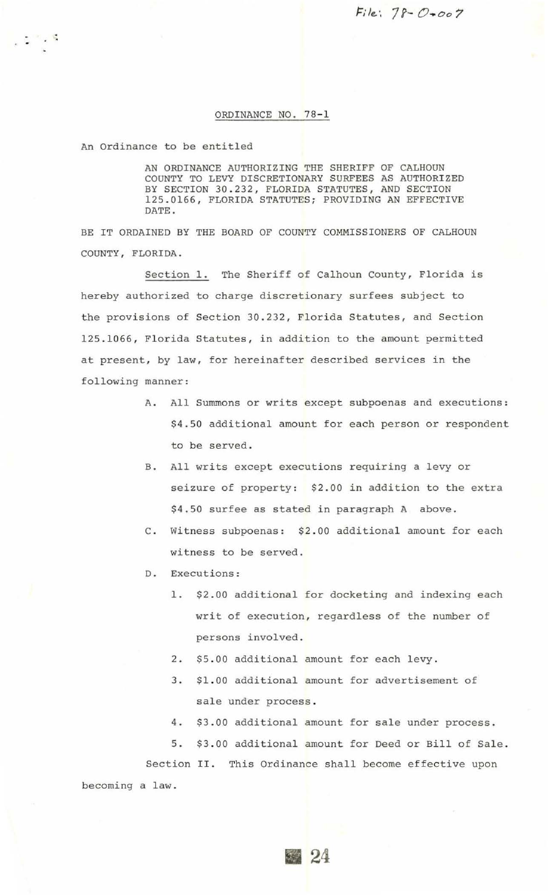$File: 78 - 0007$ 

## ORDINANCE NO. 78-1

An Ordinance to be entitled

 $\sim 10^{-10}$ 

AN ORDINANCE AUTHORIZING THE SHERIFF OF CALHOUN COUNTY TO LEVY DISCRETIONARY SURFEES AS AUTHORIZED BY SECTION 30.232, FLORIDA STATUTES, AND SECTION 125 . 0166, FLORIDA STATUTES; PROVIDING AN EFFECTIVE DATE.

BE IT ORDAINED BY THE BOARD OF COUNTY COMMISSIONERS OF CALHOUN COUNTY, FLORIDA .

Section 1. The Sheriff of Calhoun County, Florida is hereby authorized to charge discretionary surfees subject to the provisions of Section 30 . 232, Florida Statutes, and Section 125.1066, Florida Statutes, in addition to the amount permitted at present, by law, for hereinafter described services in the following manner:

- A. All Summons or writs except subpoenas and executions: \$4.50 additional amount for each person or respondent to be served.
- B. All writs except executions requiring a levy or seizure of property: \$2.00 in addition to the extra \$4 . 50 surfee as stated in paragraph A above.
- C. Witness subpoenas: \$2.00 additional amount for each witness to be served.
- D. Executions :
	- 1. \$2.00 additional for docketing and indexing each writ of execution, regardless of the number of persons involved.
	- 2. \$5.00 additional amount for each levy.
	- 3. \$1.00 additional amount for advertisement of sale under process .
	- 4. \$3.00 additional amount for sale under process .

5. \$3 . 00 additional amount for Deed or Bill of Sale.

Section II. This Ordinance shall become effective upon becoming a law.

24